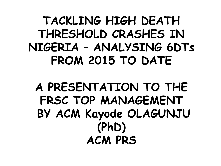**TACKLING HIGH DEATH THRESHOLD CRASHES IN NIGERIA – ANALYSING 6DTs FROM 2015 TO DATE**

**A PRESENTATION TO THE FRSC TOP MANAGEMENT BY ACM Kayode OLAGUNJU (PhD) ACM PRS**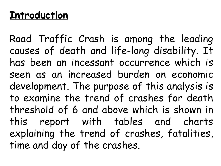# **Introduction**

Road Traffic Crash is among the leading causes of death and life-long disability. It has been an incessant occurrence which is seen as an increased burden on economic development. The purpose of this analysis is to examine the trend of crashes for death threshold of 6 and above which is shown in this report with tables and charts explaining the trend of crashes, fatalities, time and day of the crashes.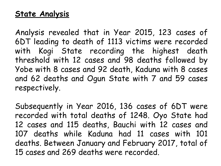# **State Analysis**

Analysis revealed that in Year 2015, 123 cases of 6DT leading to death of 1113 victims were recorded with Kogi State recording the highest death threshold with 12 cases and 98 deaths followed by Yobe with 8 cases and 92 death, Kaduna with 8 cases and 62 deaths and Ogun State with 7 and 59 cases respectively.

Subsequently in Year 2016, 136 cases of 6DT were recorded with total deaths of 1248. Oyo State had 12 cases and 115 deaths, Bauchi with 12 cases and 107 deaths while Kaduna had 11 cases with 101 deaths. Between January and February 2017, total of 15 cases and 269 deaths were recorded.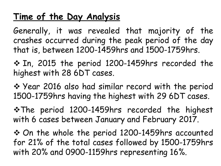# **Time of the Day Analysis**

Generally, it was revealed that majority of the crashes occurred during the peak period of the day that is, between 1200-1459hrs and 1500-1759hrs.

 In, 2015 the period 1200-1459hrs recorded the highest with 28 6DT cases.

◆ Year 2016 also had similar record with the period 1500-1759hrs having the highest with 29 6DT cases.

\* The period 1200-1459hrs recorded the highest with 6 cases between January and February 2017.

 On the whole the period 1200-1459hrs accounted for 21% of the total cases followed by 1500-1759hrs with 20% and 0900-1159hrs representing 16%.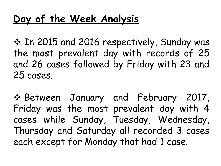# **Day of the Week Analysis**

 In 2015 and 2016 respectively, Sunday was the most prevalent day with records of 25 and 26 cases followed by Friday with 23 and 25 cases.

 Between January and February 2017, Friday was the most prevalent day with 4 cases while Sunday, Tuesday, Wednesday, Thursday and Saturday all recorded 3 cases each except for Monday that had 1 case.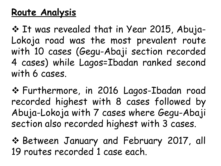# **Route Analysis**

 $\cdot$  **It was revealed that in Year 2015, Abuja-**Lokoja road was the most prevalent route with 10 cases (Gegu-Abaji section recorded 4 cases) while Lagos=Ibadan ranked second with 6 cases.

 Furthermore, in 2016 Lagos-Ibadan road recorded highest with 8 cases followed by Abuja-Lokoja with 7 cases where Gegu-Abaji section also recorded highest with 3 cases.

◆ Between January and February 2017, all 19 routes recorded 1 case each.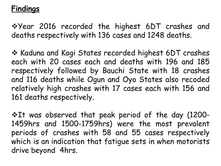## **Findings**

**\*Year 2016 recorded the highest 6DT crashes and** deaths respectively with 136 cases and 1248 deaths.

❖ Kaduna and Kogi States recorded highest 6DT crashes each with 20 cases each and deaths with 196 and 185 respectively followed by Bauchi State with 18 crashes and 116 deaths while Ogun and Oyo States also recoded relatively high crashes with 17 cases each with 156 and 161 deaths respectively.

\*It was observed that peak period of the day (1200-1459hrs and 1500-1759hrs) were the most prevalent periods of crashes with 58 and 55 cases respectively which is an indication that fatigue sets in when motorists drive beyond 4hrs.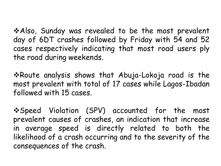\*Also, Sunday was revealed to be the most prevalent day of 6DT crashes followed by Friday with 54 and 52 cases respectively indicating that most road users ply the road during weekends.

\* Route analysis shows that Abuja-Lokoja road is the most prevalent with total of 17 cases while Lagos-Ibadan followed with 15 cases.

\*Speed Violation (SPV) accounted for the most prevalent causes of crashes, an indication that increase in average speed is directly related to both the likelihood of a crash occurring and to the severity of the consequences of the crash.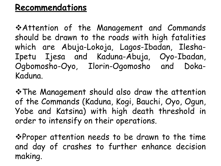# **Recommendations**

Attention of the Management and Commands should be drawn to the roads with high fatalities which are Abuja-Lokoja, Lagos-Ibadan, Ilesha-Ipetu Ijesa and Kaduna-Abuja, Oyo-Ibadan, Ogbomosho-Oyo, Ilorin-Ogomosho and Doka-Kaduna.

The Management should also draw the attention of the Commands (Kaduna, Kogi, Bauchi, Oyo, Ogun, Yobe and Katsina) with high death threshold in order to intensify on their operations.

**\*Proper attention needs to be drawn to the time** and day of crashes to further enhance decision making.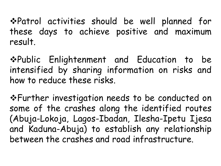Patrol activities should be well planned for these days to achieve positive and maximum result.

Public Enlightenment and Education to be intensified by sharing information on risks and how to reduce these risks.

Further investigation needs to be conducted on some of the crashes along the identified routes (Abuja-Lokoja, Lagos-Ibadan, Ilesha-Ipetu Ijesa and Kaduna-Abuja) to establish any relationship between the crashes and road infrastructure.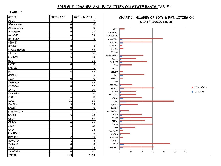### **2015 6DT CRASHES AND FATALITIES ON STATE BASIS TABLE 1**

| <b>STATE</b>     | TOTAL 6DT    | TOTAL DEATH |
|------------------|--------------|-------------|
| ABIA             | 1            | 9           |
| ADAMAWA          | 0            | 0           |
| <b>AKWA IBOM</b> | 0            | 0           |
| ANAMBRA          | 5            | 78          |
| <b>BAUCHI</b>    | 6            | 59          |
| <b>BAYELSA</b>   | $\mathbf 1$  | 5           |
| <b>BENUE</b>     | 1            | 7           |
| <b>BORNO</b>     | 0            | 0           |
| CROSS RIVER      | 5            | 43          |
| DELTA            | 3            | 30          |
| EBONYI           | 5            | 50          |
| EDO              | 3            | 22          |
| EKITI            | 0            | 0           |
| ENUGU            | 1            | 6           |
| FCT              | 6            | 45          |
| GOMBE            | 1            | 6           |
| <b>IMO</b>       | 0            | 0           |
| <b>JIGAWA</b>    | 3            | 23          |
| <b>KADUNA</b>    | 8            | 62          |
| <b>KANO</b>      | 3            | 30          |
| KATSINA          | 3            | 30          |
| KEBBI            | 6            | 41          |
| KOGI             | 12           | 98          |
| <b>KWARA</b>     | 3            | 33          |
| <b>LAGOS</b>     | 0            | 0           |
| NASARAWA         | 3            | 17          |
| <b>NIGER</b>     | 5            | 40          |
| <b>OGUN</b>      | 7            | 59          |
| ONDO             | 4            | 46          |
| <b>OSUN</b>      | 6            | 61          |
| OYO              | 4            | 28          |
| PLATEAU          | $\mathbf{1}$ | 6           |
| <b>RIVERS</b>    | 2            | 19          |
| SOKOTO           | 1            | 6           |
| <b>TARABA</b>    | 0            | 0           |
| <b>YOBE</b>      | 8            | 92          |
| ZAMFARA          | 6            | 62          |
| <b>TOTAL</b>     | 123          | 1113        |

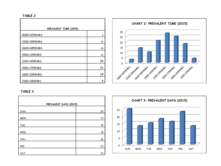#### **TABLE 2**

| PREVALENT TIME (2015) |    |
|-----------------------|----|
| 0000-0259HRS          | 3  |
| 0300-0559HRS          | 14 |
| 0600-0859HRS          | 10 |
| 0900-1159HRS          | 21 |
| 1200-1459HRS          | 28 |
| 1500-1759HRS          | 25 |
| 1800-2059HRS          | 18 |
| 2100-1159HRS          | 4  |



| PREVALENT DAYS (2015) |    |
|-----------------------|----|
| SUN                   | 25 |
| <b>MON</b>            | 13 |
| <b>TUE</b>            | 15 |
| WED                   | 18 |
| <b>THU</b>            | 16 |
| <b>FRI</b>            | 23 |
| SAT                   | 13 |

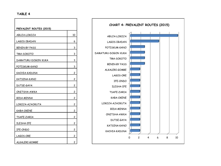| PREVALENT ROUTES (2015) |                  |
|-------------------------|------------------|
| ABUJA-LOKOJA            | 10               |
| LAGOS-IBADAN            | 6                |
| <b>BENIN-BY PASS</b>    | 3                |
| TMA-SOKOTO              | 3                |
| DAMATURU-DOGON KUKA     | 3                |
| POTISKUM-KANO           | 3                |
| KACHIA-KADUNA           | 2                |
| KATSINA-KANO            | 2                |
| DUTSE-GAYA              | $2 \overline{a}$ |
| ONITSHA-AWKA            | 2                |
| BIDA-MINNA              | $\overline{c}$   |
| LOKOJA-AJAOKUTA         | 2                |
| KABA-OKENE              | 2                |
| TSAFE-ZARIA             | 2                |
| <b>ILESHA-IFE</b>       | 2                |
| IFE-ONDO                | 2                |
| LAGOS-ORE               | 2                |
| ALKALERI-GOMBE          | 2                |

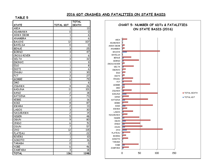### **2016 6DT CRASHES AND FATALITIES ON STATE BASIS**

| <b>CHART 5: NUMBER OF 6DTs &amp; FATA</b><br><b>DEATH</b><br><b>STATE</b><br><b>TOTAL 6DT</b><br>ABIA<br>13<br>1<br>ON STATE BASIS (2016)<br>ADAMAWA<br>0<br>$\mathsf{o}$<br><b>AKWA IBOM</b><br>$\mathbf{1}$<br>6<br>$\mathbf{1}$<br>6<br>ANAMBRA<br>ABIA<br>$\overline{12}$<br>107<br><b>BAUCHI</b><br>ADAMAWA<br><b>BAYELSA</b><br>0<br>0<br><b>AKWA IBOM</b><br>3<br>25<br><b>BENUE</b><br>ANAMBRA<br><b>BORNO</b><br>3<br>47<br><b>BAUCHI</b><br><b>BAYELSA</b><br>CROSS RIVER<br>$\mathbf{1}$<br>6<br><b>BENUE</b><br>$\overline{\mathbf{3}}$<br><b>DELTA</b><br>32<br><b>BORNO</b><br>$\mathbf{1}$<br><b>EBONYI</b><br>9<br>CROSS RIVER<br>$\overline{1}$<br>$\overline{8}$<br><b>EDO</b><br>DELTA<br>$\mathbf{1}$<br>EKITI<br>6<br>EBONYI<br><b>ENUGU</b><br>3<br>30<br>EDO<br>$\overline{\mathbf{3}}$<br>$\overline{27}$<br>FCT<br>EKITI<br>GOMBE<br>6<br>79<br><b>ENUGU</b><br>FCT<br>$\mathbf 1$<br><b>IMO</b><br>6<br><b>GOMBE</b><br>$\overline{4}$<br>$\overline{26}$<br><b>JIGAWA</b><br><b>IMO</b><br>$\overline{11}$<br>101<br><b>KADUNA</b><br><b>JIGAWA</b><br>$\overline{\mathbf{c}}$<br><b>KANO</b><br>18<br><b>KADUNA</b><br>7<br>$\overline{73}$<br><b>KATSINA</b><br><b>KANO</b><br>KEBBI<br>$\overline{\mathbf{c}}$<br>16<br><b>KATSINA</b><br>KOGI<br>8<br>87<br>KEBBI<br><b>KOGI</b><br>2<br><b>KWARA</b><br>13<br><b>KWARA</b><br>3<br>30<br><b>LAGOS</b><br><b>LAGOS</b><br>$\overline{c}$<br>$\overline{14}$<br>NASARAWA<br><b>NASARAWA</b><br>$\overline{5}$<br><b>NIGER</b><br>48<br><b>NIGER</b><br>OGUN<br>$\overline{9}$<br>80<br><b>OGUN</b><br>ONDO<br>6<br>51<br>ONDO<br><b>OSUN</b><br>7<br>57<br>OSUN<br>OXO<br>12<br>115<br><b>OYO</b><br>PLATEAU<br>3<br>22<br>PLATEAU<br><b>RIVERS</b><br>$\mathbf 1$<br><b>RIVERS</b><br>10<br>SOKOTO<br>$\overline{\mathbf{c}}$<br>$\overline{16}$<br>SOKOTO<br><b>TARABA</b><br><b>TARABA</b><br>0<br>0<br><b>YOBE</b><br><b>YOBE</b><br>6<br>46<br>ZAMFARA<br>3<br>ZAMFARA<br>18<br>150 |              |     | <b>TOTAL</b> |                |
|------------------------------------------------------------------------------------------------------------------------------------------------------------------------------------------------------------------------------------------------------------------------------------------------------------------------------------------------------------------------------------------------------------------------------------------------------------------------------------------------------------------------------------------------------------------------------------------------------------------------------------------------------------------------------------------------------------------------------------------------------------------------------------------------------------------------------------------------------------------------------------------------------------------------------------------------------------------------------------------------------------------------------------------------------------------------------------------------------------------------------------------------------------------------------------------------------------------------------------------------------------------------------------------------------------------------------------------------------------------------------------------------------------------------------------------------------------------------------------------------------------------------------------------------------------------------------------------------------------------------------------------------------------------------------------------------------------------------------------------------------------------------------------------------------------------------------------------------------------------------------------------------------------------------------------------------------------------------|--------------|-----|--------------|----------------|
|                                                                                                                                                                                                                                                                                                                                                                                                                                                                                                                                                                                                                                                                                                                                                                                                                                                                                                                                                                                                                                                                                                                                                                                                                                                                                                                                                                                                                                                                                                                                                                                                                                                                                                                                                                                                                                                                                                                                                                        |              |     |              |                |
|                                                                                                                                                                                                                                                                                                                                                                                                                                                                                                                                                                                                                                                                                                                                                                                                                                                                                                                                                                                                                                                                                                                                                                                                                                                                                                                                                                                                                                                                                                                                                                                                                                                                                                                                                                                                                                                                                                                                                                        |              |     |              |                |
|                                                                                                                                                                                                                                                                                                                                                                                                                                                                                                                                                                                                                                                                                                                                                                                                                                                                                                                                                                                                                                                                                                                                                                                                                                                                                                                                                                                                                                                                                                                                                                                                                                                                                                                                                                                                                                                                                                                                                                        |              |     |              |                |
|                                                                                                                                                                                                                                                                                                                                                                                                                                                                                                                                                                                                                                                                                                                                                                                                                                                                                                                                                                                                                                                                                                                                                                                                                                                                                                                                                                                                                                                                                                                                                                                                                                                                                                                                                                                                                                                                                                                                                                        |              |     |              |                |
|                                                                                                                                                                                                                                                                                                                                                                                                                                                                                                                                                                                                                                                                                                                                                                                                                                                                                                                                                                                                                                                                                                                                                                                                                                                                                                                                                                                                                                                                                                                                                                                                                                                                                                                                                                                                                                                                                                                                                                        |              |     |              |                |
|                                                                                                                                                                                                                                                                                                                                                                                                                                                                                                                                                                                                                                                                                                                                                                                                                                                                                                                                                                                                                                                                                                                                                                                                                                                                                                                                                                                                                                                                                                                                                                                                                                                                                                                                                                                                                                                                                                                                                                        |              |     |              |                |
|                                                                                                                                                                                                                                                                                                                                                                                                                                                                                                                                                                                                                                                                                                                                                                                                                                                                                                                                                                                                                                                                                                                                                                                                                                                                                                                                                                                                                                                                                                                                                                                                                                                                                                                                                                                                                                                                                                                                                                        |              |     |              |                |
|                                                                                                                                                                                                                                                                                                                                                                                                                                                                                                                                                                                                                                                                                                                                                                                                                                                                                                                                                                                                                                                                                                                                                                                                                                                                                                                                                                                                                                                                                                                                                                                                                                                                                                                                                                                                                                                                                                                                                                        |              |     |              |                |
|                                                                                                                                                                                                                                                                                                                                                                                                                                                                                                                                                                                                                                                                                                                                                                                                                                                                                                                                                                                                                                                                                                                                                                                                                                                                                                                                                                                                                                                                                                                                                                                                                                                                                                                                                                                                                                                                                                                                                                        |              |     |              |                |
|                                                                                                                                                                                                                                                                                                                                                                                                                                                                                                                                                                                                                                                                                                                                                                                                                                                                                                                                                                                                                                                                                                                                                                                                                                                                                                                                                                                                                                                                                                                                                                                                                                                                                                                                                                                                                                                                                                                                                                        |              |     |              |                |
|                                                                                                                                                                                                                                                                                                                                                                                                                                                                                                                                                                                                                                                                                                                                                                                                                                                                                                                                                                                                                                                                                                                                                                                                                                                                                                                                                                                                                                                                                                                                                                                                                                                                                                                                                                                                                                                                                                                                                                        |              |     |              |                |
|                                                                                                                                                                                                                                                                                                                                                                                                                                                                                                                                                                                                                                                                                                                                                                                                                                                                                                                                                                                                                                                                                                                                                                                                                                                                                                                                                                                                                                                                                                                                                                                                                                                                                                                                                                                                                                                                                                                                                                        |              |     |              |                |
|                                                                                                                                                                                                                                                                                                                                                                                                                                                                                                                                                                                                                                                                                                                                                                                                                                                                                                                                                                                                                                                                                                                                                                                                                                                                                                                                                                                                                                                                                                                                                                                                                                                                                                                                                                                                                                                                                                                                                                        |              |     |              |                |
|                                                                                                                                                                                                                                                                                                                                                                                                                                                                                                                                                                                                                                                                                                                                                                                                                                                                                                                                                                                                                                                                                                                                                                                                                                                                                                                                                                                                                                                                                                                                                                                                                                                                                                                                                                                                                                                                                                                                                                        |              |     |              |                |
|                                                                                                                                                                                                                                                                                                                                                                                                                                                                                                                                                                                                                                                                                                                                                                                                                                                                                                                                                                                                                                                                                                                                                                                                                                                                                                                                                                                                                                                                                                                                                                                                                                                                                                                                                                                                                                                                                                                                                                        |              |     |              |                |
|                                                                                                                                                                                                                                                                                                                                                                                                                                                                                                                                                                                                                                                                                                                                                                                                                                                                                                                                                                                                                                                                                                                                                                                                                                                                                                                                                                                                                                                                                                                                                                                                                                                                                                                                                                                                                                                                                                                                                                        |              |     |              |                |
|                                                                                                                                                                                                                                                                                                                                                                                                                                                                                                                                                                                                                                                                                                                                                                                                                                                                                                                                                                                                                                                                                                                                                                                                                                                                                                                                                                                                                                                                                                                                                                                                                                                                                                                                                                                                                                                                                                                                                                        |              |     |              |                |
|                                                                                                                                                                                                                                                                                                                                                                                                                                                                                                                                                                                                                                                                                                                                                                                                                                                                                                                                                                                                                                                                                                                                                                                                                                                                                                                                                                                                                                                                                                                                                                                                                                                                                                                                                                                                                                                                                                                                                                        |              |     |              |                |
|                                                                                                                                                                                                                                                                                                                                                                                                                                                                                                                                                                                                                                                                                                                                                                                                                                                                                                                                                                                                                                                                                                                                                                                                                                                                                                                                                                                                                                                                                                                                                                                                                                                                                                                                                                                                                                                                                                                                                                        |              |     |              |                |
|                                                                                                                                                                                                                                                                                                                                                                                                                                                                                                                                                                                                                                                                                                                                                                                                                                                                                                                                                                                                                                                                                                                                                                                                                                                                                                                                                                                                                                                                                                                                                                                                                                                                                                                                                                                                                                                                                                                                                                        |              |     |              |                |
|                                                                                                                                                                                                                                                                                                                                                                                                                                                                                                                                                                                                                                                                                                                                                                                                                                                                                                                                                                                                                                                                                                                                                                                                                                                                                                                                                                                                                                                                                                                                                                                                                                                                                                                                                                                                                                                                                                                                                                        |              |     |              |                |
|                                                                                                                                                                                                                                                                                                                                                                                                                                                                                                                                                                                                                                                                                                                                                                                                                                                                                                                                                                                                                                                                                                                                                                                                                                                                                                                                                                                                                                                                                                                                                                                                                                                                                                                                                                                                                                                                                                                                                                        |              |     |              |                |
|                                                                                                                                                                                                                                                                                                                                                                                                                                                                                                                                                                                                                                                                                                                                                                                                                                                                                                                                                                                                                                                                                                                                                                                                                                                                                                                                                                                                                                                                                                                                                                                                                                                                                                                                                                                                                                                                                                                                                                        |              |     |              |                |
|                                                                                                                                                                                                                                                                                                                                                                                                                                                                                                                                                                                                                                                                                                                                                                                                                                                                                                                                                                                                                                                                                                                                                                                                                                                                                                                                                                                                                                                                                                                                                                                                                                                                                                                                                                                                                                                                                                                                                                        |              |     |              |                |
|                                                                                                                                                                                                                                                                                                                                                                                                                                                                                                                                                                                                                                                                                                                                                                                                                                                                                                                                                                                                                                                                                                                                                                                                                                                                                                                                                                                                                                                                                                                                                                                                                                                                                                                                                                                                                                                                                                                                                                        |              |     |              |                |
|                                                                                                                                                                                                                                                                                                                                                                                                                                                                                                                                                                                                                                                                                                                                                                                                                                                                                                                                                                                                                                                                                                                                                                                                                                                                                                                                                                                                                                                                                                                                                                                                                                                                                                                                                                                                                                                                                                                                                                        |              |     |              |                |
|                                                                                                                                                                                                                                                                                                                                                                                                                                                                                                                                                                                                                                                                                                                                                                                                                                                                                                                                                                                                                                                                                                                                                                                                                                                                                                                                                                                                                                                                                                                                                                                                                                                                                                                                                                                                                                                                                                                                                                        |              |     |              |                |
|                                                                                                                                                                                                                                                                                                                                                                                                                                                                                                                                                                                                                                                                                                                                                                                                                                                                                                                                                                                                                                                                                                                                                                                                                                                                                                                                                                                                                                                                                                                                                                                                                                                                                                                                                                                                                                                                                                                                                                        |              |     |              |                |
|                                                                                                                                                                                                                                                                                                                                                                                                                                                                                                                                                                                                                                                                                                                                                                                                                                                                                                                                                                                                                                                                                                                                                                                                                                                                                                                                                                                                                                                                                                                                                                                                                                                                                                                                                                                                                                                                                                                                                                        |              |     |              |                |
|                                                                                                                                                                                                                                                                                                                                                                                                                                                                                                                                                                                                                                                                                                                                                                                                                                                                                                                                                                                                                                                                                                                                                                                                                                                                                                                                                                                                                                                                                                                                                                                                                                                                                                                                                                                                                                                                                                                                                                        |              |     |              |                |
|                                                                                                                                                                                                                                                                                                                                                                                                                                                                                                                                                                                                                                                                                                                                                                                                                                                                                                                                                                                                                                                                                                                                                                                                                                                                                                                                                                                                                                                                                                                                                                                                                                                                                                                                                                                                                                                                                                                                                                        |              |     |              |                |
|                                                                                                                                                                                                                                                                                                                                                                                                                                                                                                                                                                                                                                                                                                                                                                                                                                                                                                                                                                                                                                                                                                                                                                                                                                                                                                                                                                                                                                                                                                                                                                                                                                                                                                                                                                                                                                                                                                                                                                        |              |     |              |                |
|                                                                                                                                                                                                                                                                                                                                                                                                                                                                                                                                                                                                                                                                                                                                                                                                                                                                                                                                                                                                                                                                                                                                                                                                                                                                                                                                                                                                                                                                                                                                                                                                                                                                                                                                                                                                                                                                                                                                                                        |              |     |              |                |
|                                                                                                                                                                                                                                                                                                                                                                                                                                                                                                                                                                                                                                                                                                                                                                                                                                                                                                                                                                                                                                                                                                                                                                                                                                                                                                                                                                                                                                                                                                                                                                                                                                                                                                                                                                                                                                                                                                                                                                        |              |     |              |                |
|                                                                                                                                                                                                                                                                                                                                                                                                                                                                                                                                                                                                                                                                                                                                                                                                                                                                                                                                                                                                                                                                                                                                                                                                                                                                                                                                                                                                                                                                                                                                                                                                                                                                                                                                                                                                                                                                                                                                                                        |              |     |              |                |
|                                                                                                                                                                                                                                                                                                                                                                                                                                                                                                                                                                                                                                                                                                                                                                                                                                                                                                                                                                                                                                                                                                                                                                                                                                                                                                                                                                                                                                                                                                                                                                                                                                                                                                                                                                                                                                                                                                                                                                        |              |     |              |                |
|                                                                                                                                                                                                                                                                                                                                                                                                                                                                                                                                                                                                                                                                                                                                                                                                                                                                                                                                                                                                                                                                                                                                                                                                                                                                                                                                                                                                                                                                                                                                                                                                                                                                                                                                                                                                                                                                                                                                                                        |              |     |              |                |
|                                                                                                                                                                                                                                                                                                                                                                                                                                                                                                                                                                                                                                                                                                                                                                                                                                                                                                                                                                                                                                                                                                                                                                                                                                                                                                                                                                                                                                                                                                                                                                                                                                                                                                                                                                                                                                                                                                                                                                        |              |     |              |                |
|                                                                                                                                                                                                                                                                                                                                                                                                                                                                                                                                                                                                                                                                                                                                                                                                                                                                                                                                                                                                                                                                                                                                                                                                                                                                                                                                                                                                                                                                                                                                                                                                                                                                                                                                                                                                                                                                                                                                                                        |              |     |              |                |
|                                                                                                                                                                                                                                                                                                                                                                                                                                                                                                                                                                                                                                                                                                                                                                                                                                                                                                                                                                                                                                                                                                                                                                                                                                                                                                                                                                                                                                                                                                                                                                                                                                                                                                                                                                                                                                                                                                                                                                        | <b>TOTAL</b> | 136 | 1248         | 50<br>100<br>0 |

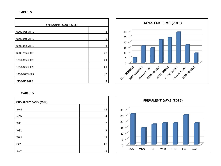### **TABLE 5**

| PREVALENT TIME (2016) |    |  |
|-----------------------|----|--|
| 0000-0259HRS          | 5  |  |
|                       |    |  |
| 0300-0559HRS          | 16 |  |
| 0600-0859HRS          | 14 |  |
| 0900-1159HRS          | 22 |  |
| 1200-1459HRS          | 24 |  |
| 1500-1759HRS          | 29 |  |
| 1800-2059HRS          | 17 |  |
| 2100-1159HRS          | 9  |  |



| PREVALENT DAYS (2016) |    |
|-----------------------|----|
|                       |    |
| SUN                   | 26 |
| <b>MON</b>            | 14 |
| <b>TUE</b>            | 17 |
|                       |    |
| WED                   | 18 |
| <b>THU</b>            | 18 |
| FRI                   | 25 |
| SAT                   | 18 |
|                       |    |

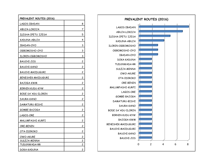| PREVALENT ROUTES (2016) |                         |
|-------------------------|-------------------------|
| LAGOS-IBADAN            | 8                       |
| ABUJA-LOKOJA            | 7                       |
| ILESHA-IPETU IJESA      | 5                       |
| KADUNA-ABUJA            | 4                       |
| IBADAN-OYO              | 3                       |
| OGBOMOSHO-OYO           | 3                       |
| ILORIN-OGBOMOSHO        | 3                       |
| BAUCHI-JOS              | 2                       |
| BAUCHI-KANO             | 2                       |
| BAUCHI-MAIDUGURI        | 2                       |
| BENESHEK-MAIDUGURI      | 2                       |
| BAJOGA-KWM              | 2                       |
| BIRNIN KUDU-KYW         | $\overline{\mathbf{c}}$ |
| BODE SA'ADU-ILORIN      | 2                       |
| DAURA-KANO              | 2                       |
| DAMATURU-BISHI          | 2                       |
| GOMBE-BAJOGA            | 2                       |
| LAGOS-ORE               | 2                       |
| MALUMFASHI-KURFI        | 2                       |
| ORE-BENIN               | 2                       |
| OTA-IDIROKO             | $\overline{2}$          |
| OWO-AKURE               | 2                       |
| SULEJA-MINNA            | 2                       |
| TUDUNWADA-RR            | 2                       |
| DOKA-KADUNA             | $\overline{c}$          |

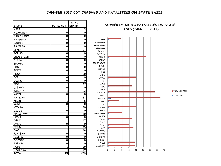## **JAN-FEB 2017 6DT CRASHES AND FATALITIES ON STATE BASIS**

|                  |                     | <b>TOTAL</b>              |                                                  |
|------------------|---------------------|---------------------------|--------------------------------------------------|
| <b>STATE</b>     | <b>TOTAL 6DT</b>    | <b>DEATH</b>              | NUMBER OF 6DTs & FATALITIES ON STATE             |
| ABIA             | 1                   | 9                         | BASIS (JAN-FEB 2017)                             |
| ADAMAWA          | 0                   | $\overline{\mathfrak{o}}$ |                                                  |
| <b>AKWA IBOM</b> | $\Omega$            | 0                         |                                                  |
| ANAMBRA          | 0                   | 0                         | ABIA                                             |
| <b>BAUCHI</b>    | 0                   | $\mathsf{O}\xspace$       | ADAMAWA                                          |
| <b>BAYELSA</b>   | 0                   | $\mathbf 0$               | <b>AKWA IBOM</b>                                 |
| <b>BENUE</b>     | $\mathbf{1}$        | $\overline{27}$           | ANAMBRA                                          |
| <b>BORNO</b>     | 0                   | 0                         | <b>BAUCHI</b><br><b>BAYELSA</b>                  |
| CROSS RIVER      | $\mathsf{O}\xspace$ | $\mathsf{O}\xspace$       | <b>BENUE</b>                                     |
| DELTA            | $\Omega$            | $\mathsf{O}\xspace$       | <b>BORNO</b>                                     |
| <b>EBONYI</b>    | 0                   | $\mathsf{O}\xspace$       | CROSS RIVER                                      |
| EDO              | $\Omega$            | 0                         | <b>DELTA</b>                                     |
| EKITI            | 0                   | $\Omega$                  | EBONYI                                           |
| <b>ENUGU</b>     | $\mathbf{1}$        | 20                        | EDO                                              |
| FCT              | 0                   | 0                         | EKITI<br><b>ENUGU</b>                            |
| GOMBE            | 0                   | 0                         | <b>FCT</b>                                       |
| <b>IMO</b>       | $\mathbf{1}$        | $\overline{17}$           | <b>GOMBE</b>                                     |
| <b>JIGAWA</b>    | 0                   | $\mathsf{o}$              | <b>IMO</b>                                       |
| <b>KADUNA</b>    | $\mathbf{1}$        | 33                        | <b>JIGAWA</b><br>TOTAL DEATH                     |
| <b>KANO</b>      | 0                   | $\mathsf{o}$              | <b>KADUNA</b>                                    |
| <b>KATSINA</b>   | $\overline{c}$      | $\overline{37}$           | TOTAL 6DT<br><b>KANO</b>                         |
| <b>KEBBI</b>     | $\mathbf{1}$        | 8                         | KATSINA<br>KEBBI                                 |
| KOGI             | 0                   | $\mathsf{O}\xspace$       | KOGI                                             |
| <b>KWARA</b>     | $\mathbf{1}$        | $\overline{20}$           | <b>KWARA</b>                                     |
| <b>LAGOS</b>     | $\mathbf 0$         | $\mathsf{o}$              | <b>LAGOS</b>                                     |
| NASARAWA         | $\mathbf{1}$        | $\overline{10}$           | NASARAWA                                         |
| <b>NIGER</b>     | 0                   | 0                         | <b>NIGER</b>                                     |
| <b>OGUN</b>      | $\mathbf{1}$        | 17                        | <b>OGUN</b>                                      |
| ONDO             | 0                   | $\mathsf{o}$              | ONDO<br><b>OSUN</b>                              |
| <b>OSUN</b>      | $\mathbf{1}$        | $\overline{15}$           | OYO                                              |
| <b>OYO</b>       | $\mathbf{1}$        | 18                        | <b>PLATEAU</b>                                   |
| PLATEAU          | $\Omega$            | $\mathsf{O}\xspace$       | <b>RIVERS</b>                                    |
| <b>RIVERS</b>    | 0                   | $\overline{\mathfrak{o}}$ | SOKOTO                                           |
| SOKOTO           | 0                   | 0                         | <b>TARABA</b>                                    |
| <b>TARABA</b>    | 0                   | $\overline{0}$            | <b>YOBE</b>                                      |
| <b>YOBE</b>      | $\mathbf{1}$        | 19                        | <b>ZAMFARA</b>                                   |
| ZAMFARA          | $\mathbf{1}$        | $\overline{19}$           | 5<br>10<br>15<br>40<br>0<br>20<br>25<br>30<br>35 |
| <b>TOTAL</b>     | $\overline{15}$     | 269                       |                                                  |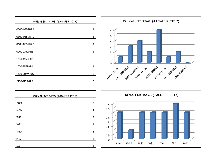



| PREVALENT DAYS (JAN-FEB 2017) |   |  |
|-------------------------------|---|--|
| <b>SUN</b>                    | 3 |  |
| <b>MON</b>                    |   |  |
| <b>TUE</b>                    | 3 |  |
| WED                           | 3 |  |
| <b>THU</b>                    | 3 |  |
| <b>FRI</b>                    | 4 |  |
| SAT                           | 3 |  |

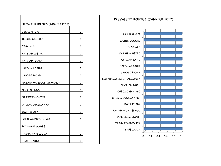| PREVALENT ROUTES (JAN-FEB 2017) |              |
|---------------------------------|--------------|
| <b>GBONGAN-IFE</b>              | 1            |
| ILORIN-OLOORU                   | 1            |
| JEGA-MLS                        | 1            |
| KATSINA METRO                   | 1            |
| KATSINA-KANO                    | $\mathbf{1}$ |
| LAFIA-MAKURDI                   | 1            |
| LAGOS-IBADAN                    | 1            |
| NASARAWA EGGON-AKWANGA          | 1            |
| OBOLLO-ENUGU                    | 1            |
| OGBOMOSHO-OYO                   | 1            |
| OTUKPA-OBOLLO AFOR              | 1            |
| OWERRI-ABA                      | 1            |
| PORTHARCORT-ENUGU               | 1            |
| POTISKUM-GOMBE                  | 1            |
| TASHARYARI-ZARIA                | 1            |
| TSAFE-ZARIA                     | 1            |

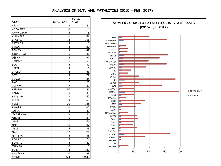### **ANALYSIS OF 6DTs AND FATALITIES (2015 – FEB. 2017)**

| <b>STATE</b>     | TOTAL 6DT | <b>TOTAL</b><br><b>DEATH</b> |
|------------------|-----------|------------------------------|
| ABIA             | 3         | 31                           |
| ADAMAWA          | 0         | 0                            |
| <b>AKWA IBOM</b> | 1         | 6                            |
| ANAMBRA          | 6         | 84                           |
| <b>BAUCHI</b>    | 18        | 166                          |
| <b>BAYELSA</b>   | 1         | 5                            |
| <b>BENUE</b>     | 5         | 59                           |
| <b>BORNO</b>     | 3         | 47                           |
| CROSS RIVER      | 6         | 49                           |
| DELTA            | 6         | 62                           |
| EBONYI           | 6         | 59                           |
| EDO              | 4         | 30                           |
| EKITI            | 1         | 6                            |
| ENUGU            | 5         | 56                           |
| FCT              | 9         | 72                           |
| <b>GOMBE</b>     | 7         | 85                           |
| IMO              | 2         | 23                           |
| <b>JIGAWA</b>    | 7         | 49                           |
| <b>KADUNA</b>    | 20        | 196                          |
| <b>KANO</b>      | 5         | 48                           |
| <b>KATSINA</b>   | 12        | 140                          |
| KEBBI            | 9         | 65                           |
| <b>KOGI</b>      | 20        | 185                          |
| <b>KWARA</b>     | 6         | 66                           |
| <b>LAGOS</b>     | 3         | 30                           |
| NASARAWA         | 6         | 41                           |
| <b>NIGER</b>     | 10        | 88                           |
| <b>OGUN</b>      | 17        | 156                          |
| ONDO             | 10        | 97                           |
| <b>OSUN</b>      | 14        | 133                          |
| OYO              | 17        | 161                          |
| PLATEAU          | 4         | 28                           |
| <b>RIVERS</b>    | 3         | 29                           |
| SOKOTO           | 3         | 22                           |
| <b>TARABA</b>    | 0         | 0                            |
| <b>YOBE</b>      | 15        | 157                          |
| ZAMFARA          | 10        | 99                           |
| <b>TOTAL</b>     | 274       | 2630                         |

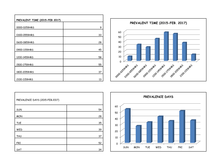| PREVALENT TIME (2015-FEB 2017) |    |
|--------------------------------|----|
|                                |    |
| 0000-0259HRS                   | 9  |
| 0300-0559HRS                   | 33 |
| 0600-0859HRS                   | 28 |
| 0900-1159HRS                   | 45 |
| 1200-1459HRS                   | 58 |
| 1500-1759HRS                   | 55 |
| 1800-2059HRS                   | 37 |
| 2100-1159HRS                   | 13 |



| PREVALENCE DAYS (2015-FEB.2017) |    |
|---------------------------------|----|
| SUN                             | 54 |
| <b>MON</b>                      | 28 |
| <b>TUE</b>                      | 35 |
| WED                             | 39 |
| <b>THU</b>                      | 37 |
| FRI                             | 52 |
| SAT                             | 34 |

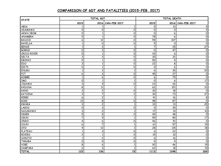## **COMPARISON OF 6DT AND FATALITIES (2015-FEB. 2017)**

| <b>STATE</b>       | TOTAL 6DT                 |                         |                   | TOTAL DEATH         |                 |                       |
|--------------------|---------------------------|-------------------------|-------------------|---------------------|-----------------|-----------------------|
|                    | 2015                      |                         | 2016 JAN-FEB 2017 | 2015                |                 | 2016 JAN-FEB 2017     |
| ABIA               | -1                        |                         | $\mathbf{1}$      | 9                   | 13              | 9                     |
| ADAMAWA            | 0                         | 0                       | 0                 | 0                   | 0               | 0                     |
| <b>AKWA IBOM</b>   | 0                         | $\mathbf{1}$            | $\overline{0}$    | $\overline{0}$      | 6               | $\overline{0}$        |
| ANAMBRA            | $\overline{5}$            | $\mathbf{1}$            | 0                 | $\overline{78}$     | 6               | $\mathsf{O}\xspace$   |
| <b>BAUCHI</b>      | 6                         | 12                      | 0                 | 59                  | 107             | $\mathsf{O}\xspace$   |
| <b>BAYELSA</b>     | $\mathbf{1}$              | 0                       | 0                 | 5                   | 0               | $\mathsf{O}\xspace$   |
| <b>BENUE</b>       | $\mathbf{1}$              | 3                       | $\mathbf{1}$      | 7                   | $\overline{25}$ | $\overline{27}$       |
| <b>BORNO</b>       | 0                         | 3                       | 0                 | 0                   | 47              | 0                     |
| <b>CROSS RIVER</b> | 5                         | $\mathbf{1}$            | 0                 | 43                  | 6               | $\mathsf{O}\xspace$   |
| <b>DELTA</b>       | $\ensuremath{\mathsf{3}}$ | 3                       | 0                 | 30                  | 32              | $\mathsf{O}\xspace$   |
| EBONYI             | $\overline{5}$            | $\mathbf{1}$            | $\overline{0}$    | $\overline{50}$     | $\overline{9}$  | $\overline{0}$        |
| <b>EDO</b>         | 3                         | $\mathbf{1}$            | 0                 | $\overline{22}$     | 8               | $\overline{0}$        |
| EKITI              | 0                         | $\mathbf{1}$            | 0                 | 0                   | 6               | $\overline{\text{o}}$ |
| <b>ENUGU</b>       | $\mathbf{1}$              | 3                       | $\mathbf{1}$      | 6                   | 30              | $\overline{20}$       |
| FCT                | 6                         | 3                       | 0                 | 45                  | 27              | 0                     |
| <b>GOMBE</b>       | $\mathbf{1}$              | 6                       | 0                 | 6                   | $\overline{79}$ | $\overline{0}$        |
| <b>IMO</b>         | 0                         | $\mathbf{1}$            | $\mathbf{1}$      | $\mathsf{O}\xspace$ | 6               | $\overline{17}$       |
| <b>JIGAWA</b>      | 3                         | 4                       | 0                 | 23                  | 26              | 0                     |
| <b>KADUNA</b>      | 8                         | $\overline{11}$         | $\mathbf{1}$      | 62                  | 101             | $\overline{33}$       |
| KANO               | $\ensuremath{\mathsf{3}}$ | $\overline{\mathbf{c}}$ | 0                 | 30                  | 18              | $\mathsf{O}\xspace$   |
| <b>KATSINA</b>     | $\ensuremath{\mathsf{3}}$ | 7                       | $\overline{c}$    | 30                  | 73              | $\overline{37}$       |
| KEBBI              | 6                         | $\overline{\mathbf{c}}$ | $\mathbf{1}$      | $\overline{41}$     | 16              | $\bf8$                |
| KOGI               | 12                        | $\overline{\mathbf{8}}$ | 0                 | 98                  | 87              | $\overline{0}$        |
| <b>KWARA</b>       | $\overline{3}$            | $\overline{c}$          | $\mathbf{1}$      | 33                  | 13              | $\overline{20}$       |
| LAGOS              | $\mathbf 0$               | 3                       | 0                 | 0                   | $\overline{30}$ | $\mathsf{O}\xspace$   |
| NASARAWA           | 3                         | $\overline{\mathbf{c}}$ | $\mathbf{1}$      | $\overline{17}$     | 14              | 10                    |
| <b>NIGER</b>       | 5                         | 5                       | 0                 | 40                  | 48              | $\mathsf{O}\xspace$   |
| <b>OGUN</b>        | $\overline{7}$            | 9                       | $\mathbf{1}$      | 59                  | 80              | $\overline{17}$       |
| ONDO               | 4                         | 6                       | 0                 | 46                  | $\overline{51}$ | $\mathsf{O}\xspace$   |
| OSUN               | 6                         | $\overline{7}$          | $\mathbf{1}$      | 61                  | $\overline{57}$ | $\overline{15}$       |
| <b>OXO</b>         | 4                         | 12                      | $\mathbf{1}$      | 28                  | 115             | $\overline{18}$       |
| PLATEAU            | $\mathbf{1}$              | 3                       | 0                 | $\overline{6}$      | $\overline{22}$ | $\overline{0}$        |
| <b>RIVERS</b>      | $\mathsf{S}$              | $\mathbf{1}$            | 0                 | $\overline{19}$     | 10              | $\overline{0}$        |
| SOKOTO             | $\mathbf{1}$              | 2                       | 0                 | 6                   | 16              | 0                     |
| <b>TARABA</b>      | $\mathbf 0$               | $\overline{\text{o}}$   | 0                 | $\mathsf{O}\xspace$ | 0               | $\overline{\text{o}}$ |
| <b>YOBE</b>        | $\overline{8}$            | 6                       | $\mathbf{1}$      | $\overline{92}$     | 46              | $\overline{19}$       |
| ZAMFARA            | 6                         | 3                       | 1                 | 62                  | $\overline{18}$ | 19                    |
| <b>TOTAL</b>       | 123                       | 136                     | 15                | 1113                | 1248            | 269                   |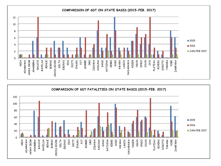

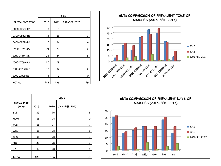|                | <b>YEAR</b> |      |                     |  |  |
|----------------|-------------|------|---------------------|--|--|
| PREVALENT TIME | 2015        | 2016 | <b>JAN-FEB 2017</b> |  |  |
| 0000-0259HRS   | 3           | 5    | 1                   |  |  |
| 0300-0559HRS   | 14          | 16   | 3                   |  |  |
| 0600-0859HRS   | 10          | 14   | 4                   |  |  |
| 0900-1159HRS   | 21          | 22   | $\overline{c}$      |  |  |
| 1200-1459HRS   | 28          | 24   | 6                   |  |  |
| 1500-1759HRS   | 25          | 29   | 1                   |  |  |
| 1800-2059HRS   | 18          | 17   | 2                   |  |  |
| 2100-1159HRS   | 4           | 9    | 0                   |  |  |
| <b>TOTAL</b>   | 123         | 136  | 19                  |  |  |



|                                 | <b>YEAR</b> |      |                     |    |
|---------------------------------|-------------|------|---------------------|----|
| <b>PREVALENT</b><br><b>DAYS</b> | 2015        | 2016 | <b>JAN-FEB 2017</b> |    |
| SUN                             | 25          | 26   |                     | 3  |
| <b>MON</b>                      | 13          | 14   |                     | 0  |
| <b>TUE</b>                      | 15          | 17   |                     | 1  |
| WED                             | 18          | 18   |                     | 6  |
| <b>THU</b>                      | 16          | 18   |                     | 1  |
| <b>FRI</b>                      | 23          | 25   |                     | 3  |
| SAT                             | 13          | 18   |                     | 5  |
| <b>TOTAL</b>                    | 123         | 136  |                     | 19 |